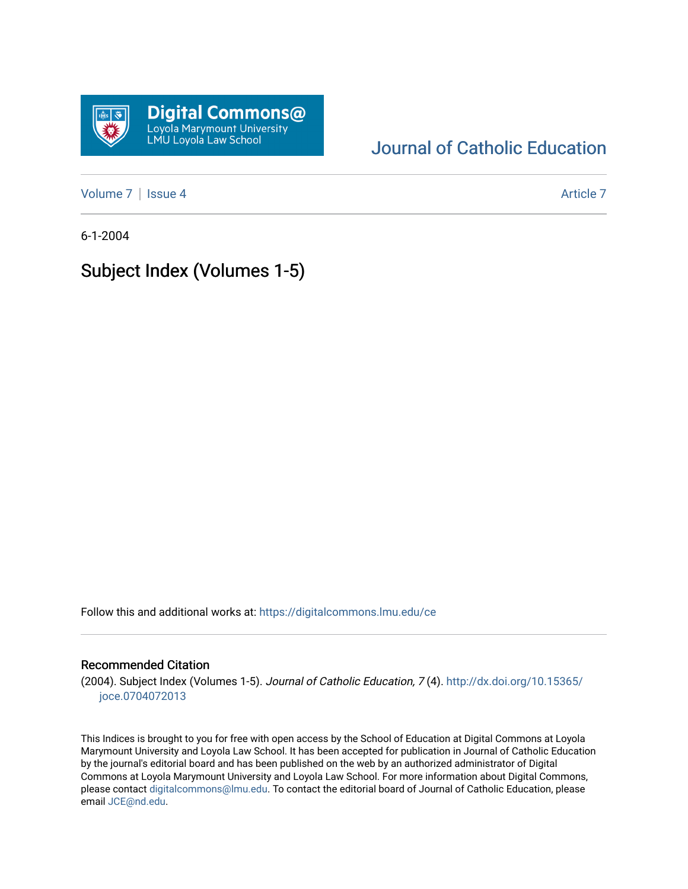

# [Journal of Catholic Education](https://digitalcommons.lmu.edu/ce)

[Volume 7](https://digitalcommons.lmu.edu/ce/vol7) | [Issue 4](https://digitalcommons.lmu.edu/ce/vol7/iss4) Article 7

6-1-2004

# Subject Index (Volumes 1-5)

Follow this and additional works at: [https://digitalcommons.lmu.edu/ce](https://digitalcommons.lmu.edu/ce?utm_source=digitalcommons.lmu.edu%2Fce%2Fvol7%2Fiss4%2F7&utm_medium=PDF&utm_campaign=PDFCoverPages)

# Recommended Citation

(2004). Subject Index (Volumes 1-5). Journal of Catholic Education, 7 (4). [http://dx.doi.org/10.15365/](http://dx.doi.org/10.15365/joce.0704072013) [joce.0704072013](http://dx.doi.org/10.15365/joce.0704072013) 

This Indices is brought to you for free with open access by the School of Education at Digital Commons at Loyola Marymount University and Loyola Law School. It has been accepted for publication in Journal of Catholic Education by the journal's editorial board and has been published on the web by an authorized administrator of Digital Commons at Loyola Marymount University and Loyola Law School. For more information about Digital Commons, please contact [digitalcommons@lmu.edu](mailto:digitalcommons@lmu.edu). To contact the editorial board of Journal of Catholic Education, please email [JCE@nd.edu](mailto:JCE@nd.edu).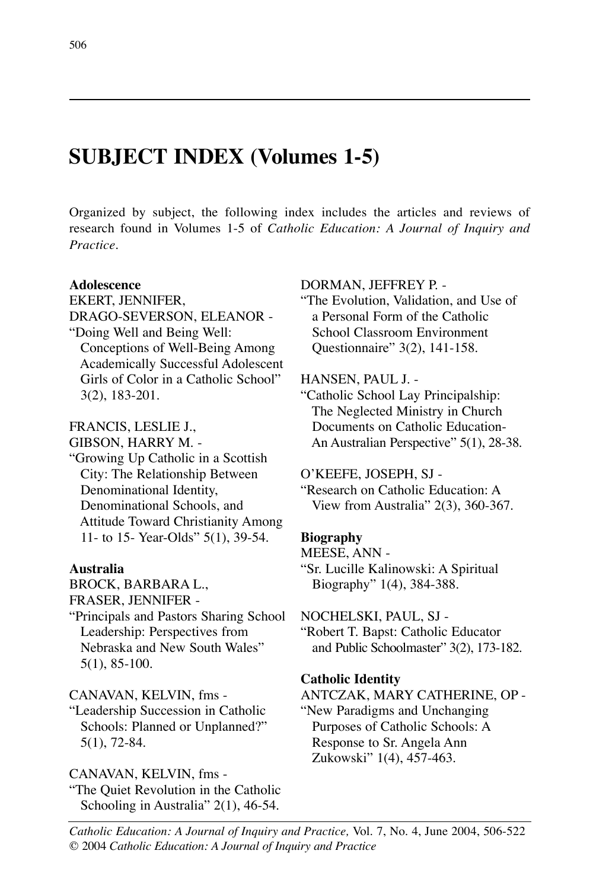# **SUBJECT INDEX (Volumes 1-5)**

Organized by subject, the following index includes the articles and reviews of research found in Volumes 1-5 of *Catholic Education: A Journal of Inquiry and Practice.*

# **Adolescence**

EKERT, JENNIFER, DRAGO-SEVERSON, ELEANOR - "Doing Well and Being Well: Conceptions of Well-Being Among Academically Successful Adolescent Girls of Color in a Catholic School" 3(2), 183-201.

# FRANCIS, LESLIE J.,

GIBSON, HARRY M. -

"Growing Up Catholic in a Scottish City: The Relationship Between Denominational Identity, Denominational Schools, and Attitude Toward Christianity Among 11- to 15- Year-Olds" 5(1), 39-54.

### **Australia**

BROCK, BARBARA L.,

FRASER, JENNIFER -

"Principals and Pastors Sharing School Leadership: Perspectives from Nebraska and New South Wales" 5(1), 85-100.

CANAVAN, KELVIN, fms -

"Leadership Succession in Catholic Schools: Planned or Unplanned?" 5(1), 72-84.

# CANAVAN, KELVIN, fms -

"The Quiet Revolution in the Catholic Schooling in Australia" 2(1), 46-54.

### DORMAN, JEFFREY P. -

"The Evolution, Validation, and Use of a Personal Form of the Catholic School Classroom Environment Questionnaire" 3(2), 141-158.

### HANSEN, PAUL J. -

"Catholic School Lay Principalship: The Neglected Ministry in Church Documents on Catholic Education-An Australian Perspective" 5(1), 28-38.

### O'KEEFE, JOSEPH, SJ -

"Research on Catholic Education: A View from Australia" 2(3), 360-367.

# **Biography**

MEESE, ANN -

"Sr. Lucille Kalinowski: A Spiritual Biography" 1(4), 384-388.

NOCHELSKI, PAUL, SJ -

"Robert T. Bapst: Catholic Educator and Public Schoolmaster" 3(2), 173-182.

### **Catholic Identity**

ANTCZAK, MARY CATHERINE, OP - "New Paradigms and Unchanging Purposes of Catholic Schools: A Response to Sr. Angela Ann Zukowski" 1(4), 457-463.

**INDICES**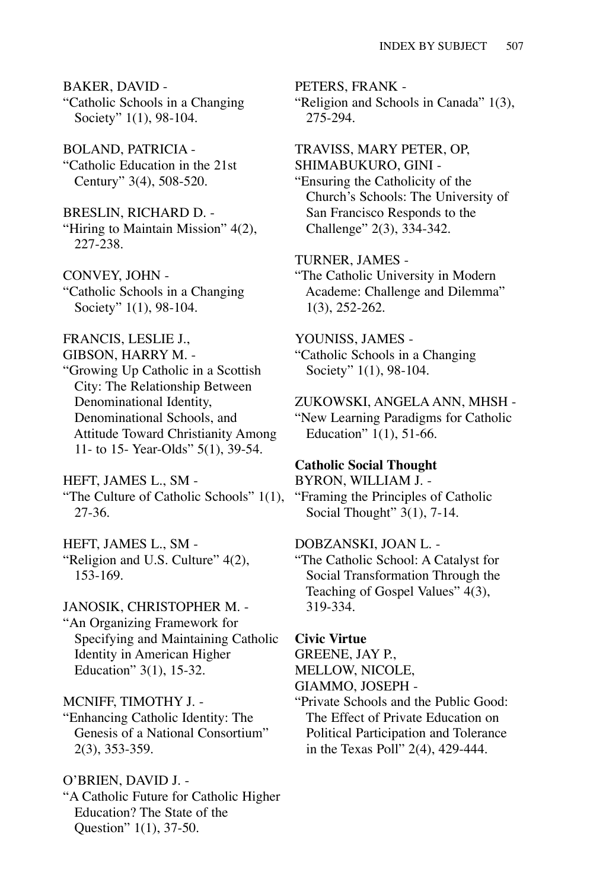BAKER, DAVID -

"Catholic Schools in a Changing Society" 1(1), 98-104.

BOLAND, PATRICIA - "Catholic Education in the 21st Century" 3(4), 508-520.

BRESLIN, RICHARD D. - "Hiring to Maintain Mission" 4(2), 227-238.

CONVEY, JOHN - "Catholic Schools in a Changing Society" 1(1), 98-104.

FRANCIS, LESLIE J.,

GIBSON, HARRY M. -

"Growing Up Catholic in a Scottish City: The Relationship Between Denominational Identity, Denominational Schools, and Attitude Toward Christianity Among 11- to 15- Year-Olds" 5(1), 39-54.

HEFT, JAMES L., SM - "The Culture of Catholic Schools" 1(1), 27-36.

HEFT, JAMES L., SM - "Religion and U.S. Culture" 4(2), 153-169.

JANOSIK, CHRISTOPHER M. - "An Organizing Framework for Specifying and Maintaining Catholic Identity in American Higher Education" 3(1), 15-32.

MCNIFF, TIMOTHY J. -

"Enhancing Catholic Identity: The Genesis of a National Consortium" 2(3), 353-359.

O'BRIEN, DAVID J. -

"A Catholic Future for Catholic Higher Education? The State of the Question" 1(1), 37-50.

PETERS, FRANK - "Religion and Schools in Canada" 1(3), 275-294.

TRAVISS, MARY PETER, OP, SHIMABUKURO, GINI - "Ensuring the Catholicity of the Church's Schools: The University of San Francisco Responds to the Challenge" 2(3), 334-342.

TURNER, JAMES - "The Catholic University in Modern Academe: Challenge and Dilemma" 1(3), 252-262.

YOUNISS, JAMES - "Catholic Schools in a Changing Society" 1(1), 98-104.

ZUKOWSKI, ANGELA ANN, MHSH - "New Learning Paradigms for Catholic Education"  $1(1)$ , 51-66.

### **Catholic Social Thought**

BYRON, WILLIAM J. - "Framing the Principles of Catholic Social Thought" 3(1), 7-14.

### DOBZANSKI, JOAN L. -

"The Catholic School: A Catalyst for Social Transformation Through the Teaching of Gospel Values" 4(3), 319-334.

### **Civic Virtue**

GREENE, JAY P.,

MELLOW, NICOLE,

GIAMMO, JOSEPH -

"Private Schools and the Public Good: The Effect of Private Education on Political Participation and Tolerance in the Texas Poll" 2(4), 429-444.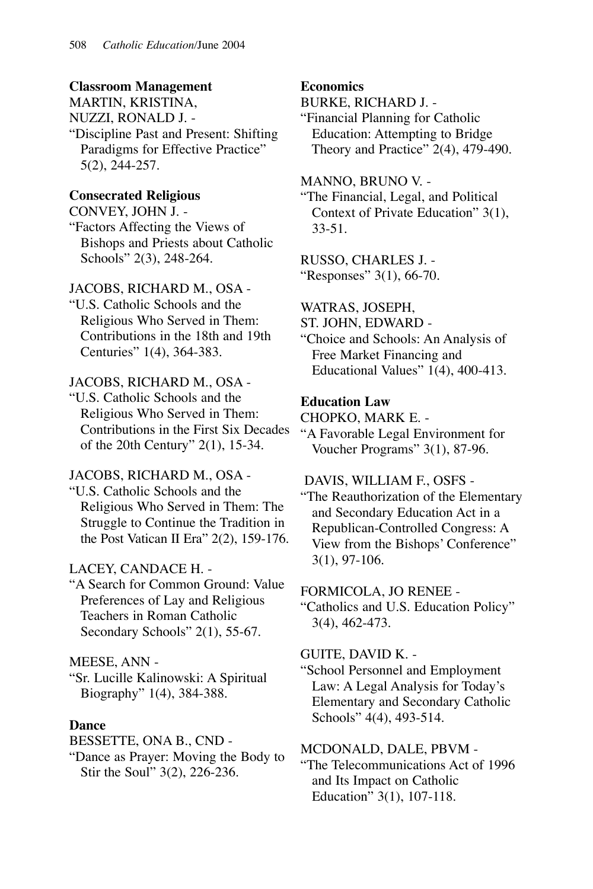### **Classroom Management**

MARTIN, KRISTINA, NUZZI, RONALD J. - "Discipline Past and Present: Shifting Paradigms for Effective Practice" 5(2), 244-257.

# **Consecrated Religious**

CONVEY, JOHN J. - "Factors Affecting the Views of Bishops and Priests about Catholic Schools" 2(3), 248-264.

# JACOBS, RICHARD M., OSA -

"U.S. Catholic Schools and the Religious Who Served in Them: Contributions in the 18th and 19th Centuries" 1(4), 364-383.

# JACOBS, RICHARD M., OSA -

"U.S. Catholic Schools and the Religious Who Served in Them: Contributions in the First Six Decades of the 20th Century" 2(1), 15-34.

# JACOBS, RICHARD M., OSA -

"U.S. Catholic Schools and the Religious Who Served in Them: The Struggle to Continue the Tradition in the Post Vatican II Era" 2(2), 159-176.

# LACEY, CANDACE H. -

"A Search for Common Ground: Value Preferences of Lay and Religious Teachers in Roman Catholic Secondary Schools" 2(1), 55-67.

# MEESE, ANN -

"Sr. Lucille Kalinowski: A Spiritual Biography" 1(4), 384-388.

# **Dance**

BESSETTE, ONA B., CND -

"Dance as Prayer: Moving the Body to Stir the Soul" 3(2), 226-236.

### **Economics**

BURKE, RICHARD J. -

"Financial Planning for Catholic Education: Attempting to Bridge Theory and Practice" 2(4), 479-490.

### MANNO, BRUNO V. -

"The Financial, Legal, and Political Context of Private Education" 3(1), 33-51.

### RUSSO, CHARLES J. - "Responses" 3(1), 66-70.

WATRAS, JOSEPH,

ST. JOHN, EDWARD -

"Choice and Schools: An Analysis of Free Market Financing and Educational Values" 1(4), 400-413.

# **Education Law**

CHOPKO, MARK E. -

"A Favorable Legal Environment for Voucher Programs" 3(1), 87-96.

# DAVIS, WILLIAM F., OSFS -

"The Reauthorization of the Elementary and Secondary Education Act in a Republican-Controlled Congress: A View from the Bishops' Conference" 3(1), 97-106.

### FORMICOLA, JO RENEE -

"Catholics and U.S. Education Policy" 3(4), 462-473.

### GUITE, DAVID K. -

"School Personnel and Employment Law: A Legal Analysis for Today's Elementary and Secondary Catholic Schools" 4(4), 493-514.

# MCDONALD, DALE, PBVM -

"The Telecommunications Act of 1996 and Its Impact on Catholic Education" 3(1), 107-118.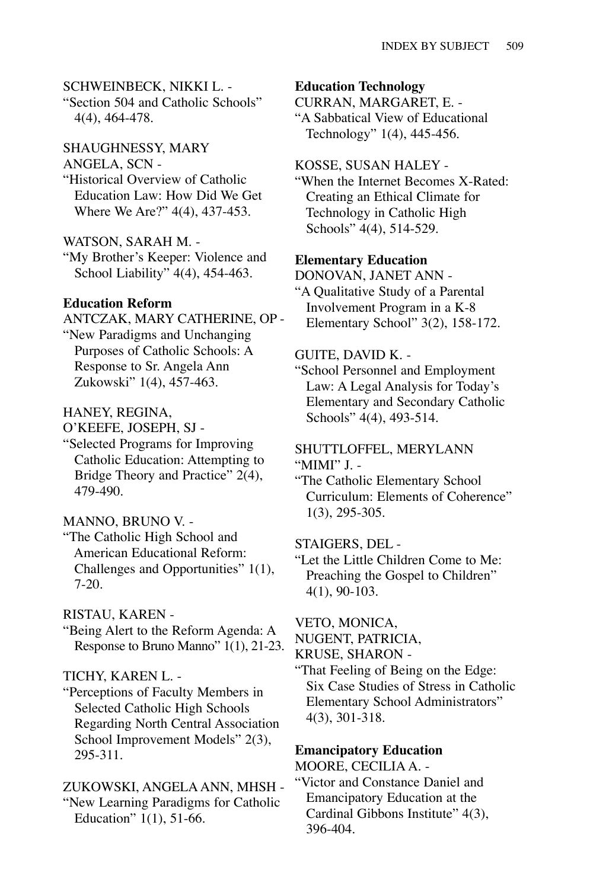### SCHWEINBECK, NIKKI L. -

"Section 504 and Catholic Schools" 4(4), 464-478.

SHAUGHNESSY, MARY

#### ANGELA, SCN -

"Historical Overview of Catholic Education Law: How Did We Get Where We Are?" 4(4), 437-453.

### WATSON, SARAH M. -

"My Brother's Keeper: Violence and School Liability" 4(4), 454-463.

#### **Education Reform**

ANTCZAK, MARY CATHERINE, OP - "New Paradigms and Unchanging Purposes of Catholic Schools: A Response to Sr. Angela Ann Zukowski" 1(4), 457-463.

#### HANEY, REGINA,

O'KEEFE, JOSEPH, SJ -

"Selected Programs for Improving Catholic Education: Attempting to Bridge Theory and Practice" 2(4), 479-490.

### MANNO, BRUNO V. -

"The Catholic High School and American Educational Reform: Challenges and Opportunities" 1(1), 7-20.

### RISTAU, KAREN -

"Being Alert to the Reform Agenda: A Response to Bruno Manno" 1(1), 21-23.

#### TICHY, KAREN L. -

"Perceptions of Faculty Members in Selected Catholic High Schools Regarding North Central Association School Improvement Models" 2(3), 295-311.

### ZUKOWSKI, ANGELA ANN, MHSH -

"New Learning Paradigms for Catholic Education" 1(1), 51-66.

#### **Education Technology**

CURRAN, MARGARET, E. -

"A Sabbatical View of Educational Technology" 1(4), 445-456.

#### KOSSE, SUSAN HALEY -

"When the Internet Becomes X-Rated: Creating an Ethical Climate for Technology in Catholic High Schools" 4(4), 514-529.

## **Elementary Education**

DONOVAN, JANET ANN - "A Qualitative Study of a Parental Involvement Program in a K-8 Elementary School" 3(2), 158-172.

#### GUITE, DAVID K. -

"School Personnel and Employment Law: A Legal Analysis for Today's Elementary and Secondary Catholic Schools" 4(4), 493-514.

### SHUTTLOFFEL, MERYLANN "MIMI" J. -

"The Catholic Elementary School Curriculum: Elements of Coherence" 1(3), 295-305.

#### STAIGERS, DEL -

"Let the Little Children Come to Me: Preaching the Gospel to Children" 4(1), 90-103.

#### VETO, MONICA,

NUGENT, PATRICIA,

#### KRUSE, SHARON -

"That Feeling of Being on the Edge: Six Case Studies of Stress in Catholic Elementary School Administrators" 4(3), 301-318.

# **Emancipatory Education**

MOORE, CECILIA A. -

"Victor and Constance Daniel and Emancipatory Education at the Cardinal Gibbons Institute" 4(3), 396-404.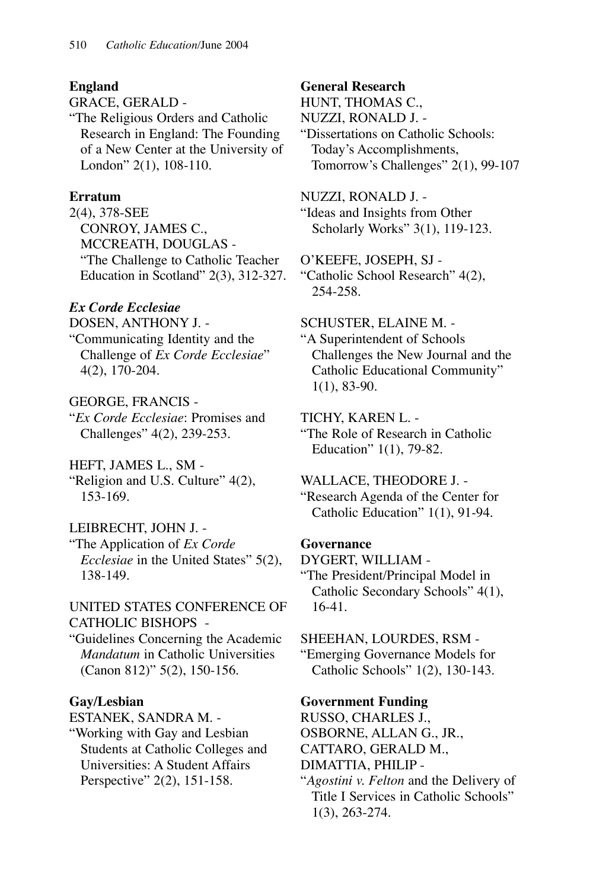# **England**

GRACE, GERALD -

"The Religious Orders and Catholic Research in England: The Founding of a New Center at the University of London" 2(1), 108-110.

# **Erratum**

2(4), 378-SEE CONROY, JAMES C., MCCREATH, DOUGLAS - "The Challenge to Catholic Teacher Education in Scotland" 2(3), 312-327.

# *Ex Corde Ecclesiae*

DOSEN, ANTHONY J. -

"Communicating Identity and the Challenge of *Ex Corde Ecclesiae*" 4(2), 170-204.

# GEORGE, FRANCIS -

"*Ex Corde Ecclesiae*: Promises and Challenges" 4(2), 239-253.

# HEFT, JAMES L., SM -

"Religion and U.S. Culture" 4(2), 153-169.

# LEIBRECHT, JOHN J. -

"The Application of *Ex Corde Ecclesiae* in the United States" 5(2), 138-149.

# UNITED STATES CONFERENCE OF CATHOLIC BISHOPS -

"Guidelines Concerning the Academic *Mandatum* in Catholic Universities (Canon 812)" 5(2), 150-156.

# **Gay/Lesbian**

ESTANEK, SANDRA M. -

"Working with Gay and Lesbian Students at Catholic Colleges and Universities: A Student Affairs Perspective" 2(2), 151-158.

# **General Research**

HUNT, THOMAS C., NUZZI, RONALD J. - "Dissertations on Catholic Schools: Today's Accomplishments, Tomorrow's Challenges" 2(1), 99-107

# NUZZI, RONALD J. -

"Ideas and Insights from Other Scholarly Works" 3(1), 119-123.

O'KEEFE, JOSEPH, SJ -

"Catholic School Research" 4(2), 254-258.

# SCHUSTER, ELAINE M. -

"A Superintendent of Schools Challenges the New Journal and the Catholic Educational Community" 1(1), 83-90.

# TICHY, KAREN L. -

"The Role of Research in Catholic Education" 1(1), 79-82.

### WALLACE, THEODORE J. - "Research Agenda of the Center for

Catholic Education" 1(1), 91-94.

# **Governance**

DYGERT, WILLIAM - "The President/Principal Model in Catholic Secondary Schools" 4(1), 16-41.

# SHEEHAN, LOURDES, RSM -

"Emerging Governance Models for Catholic Schools" 1(2), 130-143.

# **Government Funding**

RUSSO, CHARLES J.,

OSBORNE, ALLAN G., JR.,

CATTARO, GERALD M.,

DIMATTIA, PHILIP -

"*Agostini v. Felton* and the Delivery of Title I Services in Catholic Schools" 1(3), 263-274.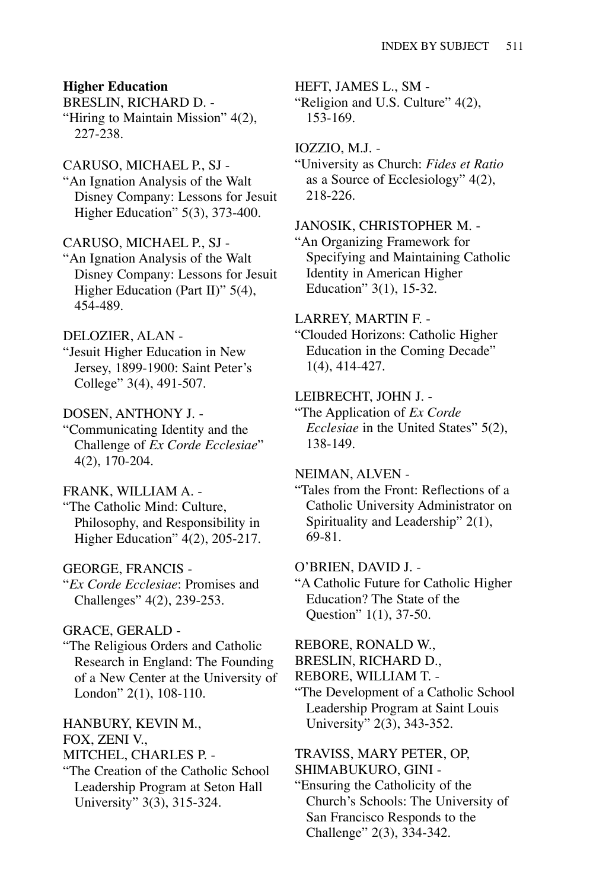#### **Higher Education**

BRESLIN, RICHARD D. - "Hiring to Maintain Mission" 4(2), 227-238.

### CARUSO, MICHAEL P., SJ -

"An Ignation Analysis of the Walt Disney Company: Lessons for Jesuit Higher Education" 5(3), 373-400.

#### CARUSO, MICHAEL P., SJ -

"An Ignation Analysis of the Walt Disney Company: Lessons for Jesuit Higher Education (Part II)" 5(4), 454-489.

### DELOZIER, ALAN -

"Jesuit Higher Education in New Jersey, 1899-1900: Saint Peter's College" 3(4), 491-507.

### DOSEN, ANTHONY J. -

"Communicating Identity and the Challenge of *Ex Corde Ecclesiae*" 4(2), 170-204.

### FRANK, WILLIAM A. -

"The Catholic Mind: Culture, Philosophy, and Responsibility in Higher Education" 4(2), 205-217.

### GEORGE, FRANCIS -

"*Ex Corde Ecclesiae*: Promises and Challenges" 4(2), 239-253.

### GRACE, GERALD -

"The Religious Orders and Catholic Research in England: The Founding of a New Center at the University of London" 2(1), 108-110.

HANBURY, KEVIN M., FOX, ZENI V.,

MITCHEL, CHARLES P. -

"The Creation of the Catholic School Leadership Program at Seton Hall University" 3(3), 315-324.

HEFT, JAMES L., SM -

"Religion and U.S. Culture" 4(2), 153-169.

IOZZIO, M.J. -

"University as Church: *Fides et Ratio* as a Source of Ecclesiology" 4(2), 218-226.

### JANOSIK, CHRISTOPHER M. -

"An Organizing Framework for Specifying and Maintaining Catholic Identity in American Higher Education" 3(1), 15-32.

### LARREY, MARTIN F. -

"Clouded Horizons: Catholic Higher Education in the Coming Decade" 1(4), 414-427.

#### LEIBRECHT, JOHN J. -

"The Application of *Ex Corde Ecclesiae* in the United States" 5(2), 138-149.

#### NEIMAN, ALVEN -

"Tales from the Front: Reflections of a Catholic University Administrator on Spirituality and Leadership" 2(1), 69-81.

### O'BRIEN, DAVID J. -

"A Catholic Future for Catholic Higher Education? The State of the Question" 1(1), 37-50.

#### REBORE, RONALD W.,

- BRESLIN, RICHARD D.,
- REBORE, WILLIAM T. -
- "The Development of a Catholic School Leadership Program at Saint Louis University" 2(3), 343-352.

### TRAVISS, MARY PETER, OP, SHIMABUKURO, GINI -

"Ensuring the Catholicity of the Church's Schools: The University of San Francisco Responds to the Challenge" 2(3), 334-342.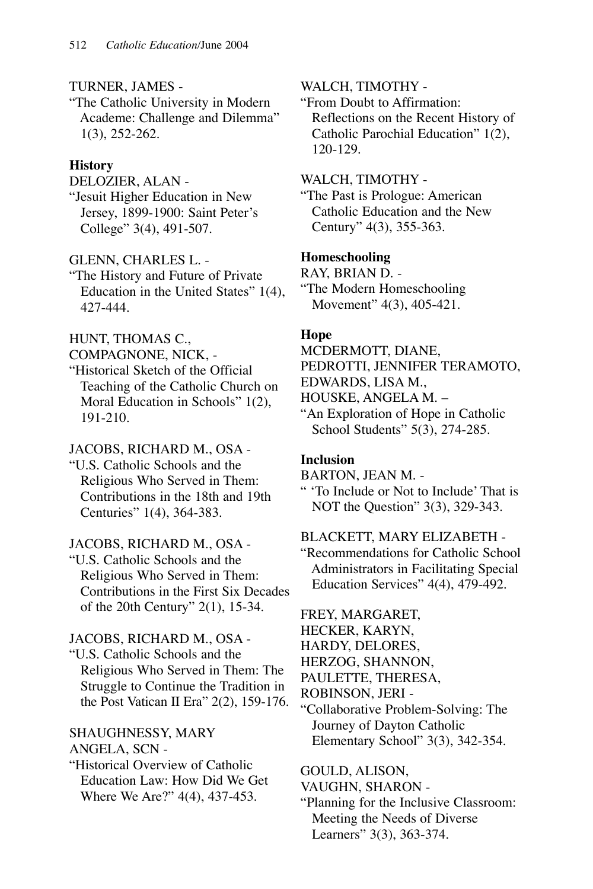### TURNER, JAMES -

"The Catholic University in Modern Academe: Challenge and Dilemma" 1(3), 252-262.

### **History**

### DELOZIER, ALAN -

"Jesuit Higher Education in New Jersey, 1899-1900: Saint Peter's College" 3(4), 491-507.

### GLENN, CHARLES L. -

"The History and Future of Private Education in the United States" 1(4), 427-444.

### HUNT, THOMAS C.,

COMPAGNONE, NICK, -

"Historical Sketch of the Official Teaching of the Catholic Church on Moral Education in Schools" 1(2), 191-210.

### JACOBS, RICHARD M., OSA -

"U.S. Catholic Schools and the Religious Who Served in Them: Contributions in the 18th and 19th Centuries" 1(4), 364-383.

### JACOBS, RICHARD M., OSA -

"U.S. Catholic Schools and the Religious Who Served in Them: Contributions in the First Six Decades of the 20th Century" 2(1), 15-34.

### JACOBS, RICHARD M., OSA -

"U.S. Catholic Schools and the Religious Who Served in Them: The Struggle to Continue the Tradition in the Post Vatican II Era" 2(2), 159-176.

#### SHAUGHNESSY, MARY ANGELA, SCN -

"Historical Overview of Catholic Education Law: How Did We Get Where We Are?" 4(4), 437-453.

### WALCH, TIMOTHY -

"From Doubt to Affirmation: Reflections on the Recent History of Catholic Parochial Education" 1(2), 120-129.

### WALCH, TIMOTHY -

"The Past is Prologue: American Catholic Education and the New Century" 4(3), 355-363.

### **Homeschooling**

RAY, BRIAN D. - "The Modern Homeschooling Movement" 4(3), 405-421.

### **Hope**

MCDERMOTT, DIANE, PEDROTTI, JENNIFER TERAMOTO, EDWARDS, LISA M., HOUSKE, ANGELA M. – "An Exploration of Hope in Catholic

School Students" 5(3), 274-285.

### **Inclusion**

BARTON, JEAN M. -

" 'To Include or Not to Include' That is NOT the Question" 3(3), 329-343.

## BLACKETT, MARY ELIZABETH -

"Recommendations for Catholic School Administrators in Facilitating Special Education Services" 4(4), 479-492.

FREY, MARGARET,

HECKER, KARYN,

HARDY, DELORES,

HERZOG, SHANNON,

PAULETTE, THERESA,

ROBINSON, JERI -

"Collaborative Problem-Solving: The Journey of Dayton Catholic Elementary School" 3(3), 342-354.

### GOULD, ALISON,

VAUGHN, SHARON -

"Planning for the Inclusive Classroom: Meeting the Needs of Diverse Learners" 3(3), 363-374.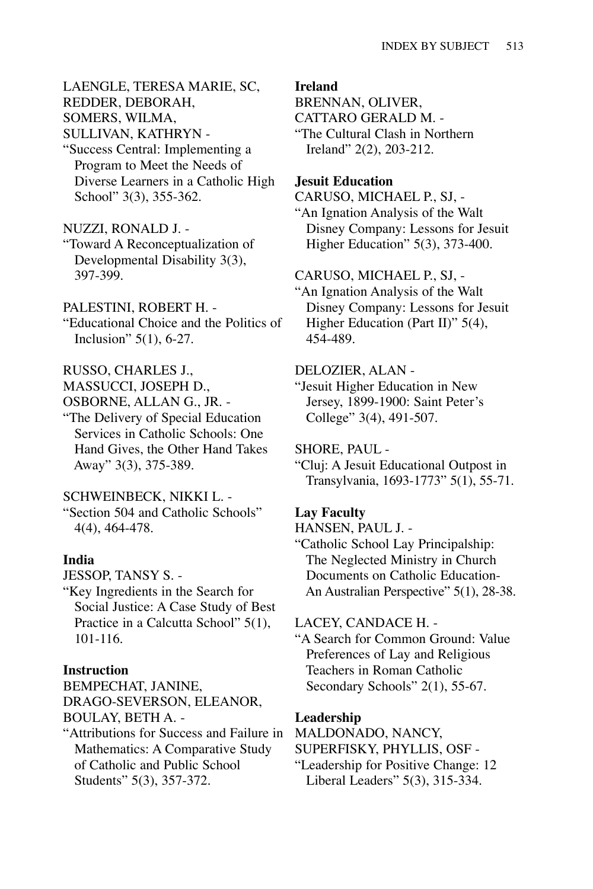LAENGLE, TERESA MARIE, SC, REDDER, DEBORAH, SOMERS, WILMA, SULLIVAN, KATHRYN -

"Success Central: Implementing a Program to Meet the Needs of Diverse Learners in a Catholic High School" 3(3), 355-362.

### NUZZI, RONALD J. -

- "Toward A Reconceptualization of Developmental Disability 3(3), 397-399.
- PALESTINI, ROBERT H. -
- "Educational Choice and the Politics of Inclusion" 5(1), 6-27.
- RUSSO, CHARLES J.,
- MASSUCCI, JOSEPH D.,
- OSBORNE, ALLAN G., JR. -
- "The Delivery of Special Education Services in Catholic Schools: One Hand Gives, the Other Hand Takes Away" 3(3), 375-389.

#### SCHWEINBECK, NIKKI L. -

"Section 504 and Catholic Schools" 4(4), 464-478.

#### **India**

- JESSOP, TANSY S. -
- "Key Ingredients in the Search for Social Justice: A Case Study of Best Practice in a Calcutta School" 5(1), 101-116.

### **Instruction**

BEMPECHAT, JANINE, DRAGO-SEVERSON, ELEANOR, BOULAY, BETH A. -

"Attributions for Success and Failure in Mathematics: A Comparative Study of Catholic and Public School Students" 5(3), 357-372.

#### **Ireland**

BRENNAN, OLIVER, CATTARO GERALD M. - "The Cultural Clash in Northern Ireland" 2(2), 203-212.

### **Jesuit Education**

CARUSO, MICHAEL P., SJ, - "An Ignation Analysis of the Walt Disney Company: Lessons for Jesuit Higher Education" 5(3), 373-400.

#### CARUSO, MICHAEL P., SJ, -

"An Ignation Analysis of the Walt Disney Company: Lessons for Jesuit Higher Education (Part II)" 5(4), 454-489.

### DELOZIER, ALAN -

"Jesuit Higher Education in New Jersey, 1899-1900: Saint Peter's College" 3(4), 491-507.

SHORE, PAUL -

"Cluj: A Jesuit Educational Outpost in Transylvania, 1693-1773" 5(1), 55-71.

#### **Lay Faculty**

HANSEN, PAUL J. -

"Catholic School Lay Principalship: The Neglected Ministry in Church Documents on Catholic Education-An Australian Perspective" 5(1), 28-38.

#### LACEY, CANDACE H. -

"A Search for Common Ground: Value Preferences of Lay and Religious Teachers in Roman Catholic Secondary Schools" 2(1), 55-67.

### **Leadership**

MALDONADO, NANCY,

SUPERFISKY, PHYLLIS, OSF -

"Leadership for Positive Change: 12 Liberal Leaders" 5(3), 315-334.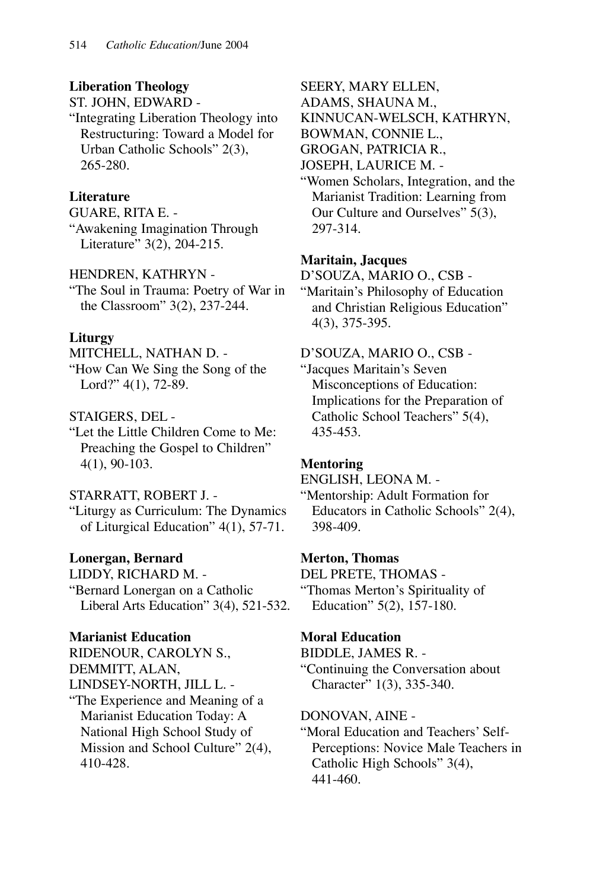# **Liberation Theology**

ST. JOHN, EDWARD -

"Integrating Liberation Theology into Restructuring: Toward a Model for Urban Catholic Schools" 2(3), 265-280.

# **Literature**

GUARE, RITA E. -

"Awakening Imagination Through Literature" 3(2), 204-215.

# HENDREN, KATHRYN -

"The Soul in Trauma: Poetry of War in the Classroom" 3(2), 237-244.

# **Liturgy**

MITCHELL, NATHAN D. -

"How Can We Sing the Song of the Lord?" 4(1), 72-89.

# STAIGERS, DEL -

"Let the Little Children Come to Me: Preaching the Gospel to Children" 4(1), 90-103.

# STARRATT, ROBERT J. -

"Liturgy as Curriculum: The Dynamics of Liturgical Education" 4(1), 57-71.

# **Lonergan, Bernard**

LIDDY, RICHARD M. - "Bernard Lonergan on a Catholic Liberal Arts Education" 3(4), 521-532.

# **Marianist Education**

RIDENOUR, CAROLYN S., DEMMITT, ALAN, LINDSEY-NORTH, JILL L. - "The Experience and Meaning of a Marianist Education Today: A National High School Study of Mission and School Culture" 2(4), 410-428.

SEERY, MARY ELLEN,

ADAMS, SHAUNA M.,

KINNUCAN-WELSCH, KATHRYN,

BOWMAN, CONNIE L.,

GROGAN, PATRICIA R.,

- JOSEPH, LAURICE M. -
- "Women Scholars, Integration, and the Marianist Tradition: Learning from Our Culture and Ourselves" 5(3), 297-314.

# **Maritain, Jacques**

D'SOUZA, MARIO O., CSB - "Maritain's Philosophy of Education and Christian Religious Education" 4(3), 375-395.

D'SOUZA, MARIO O., CSB - "Jacques Maritain's Seven Misconceptions of Education:

Implications for the Preparation of Catholic School Teachers" 5(4), 435-453.

# **Mentoring**

ENGLISH, LEONA M. -

"Mentorship: Adult Formation for Educators in Catholic Schools" 2(4), 398-409.

# **Merton, Thomas**

DEL PRETE, THOMAS - "Thomas Merton's Spirituality of Education" 5(2), 157-180.

# **Moral Education**

BIDDLE, JAMES R. -

"Continuing the Conversation about Character" 1(3), 335-340.

# DONOVAN, AINE -

"Moral Education and Teachers' Self-Perceptions: Novice Male Teachers in Catholic High Schools" 3(4), 441-460.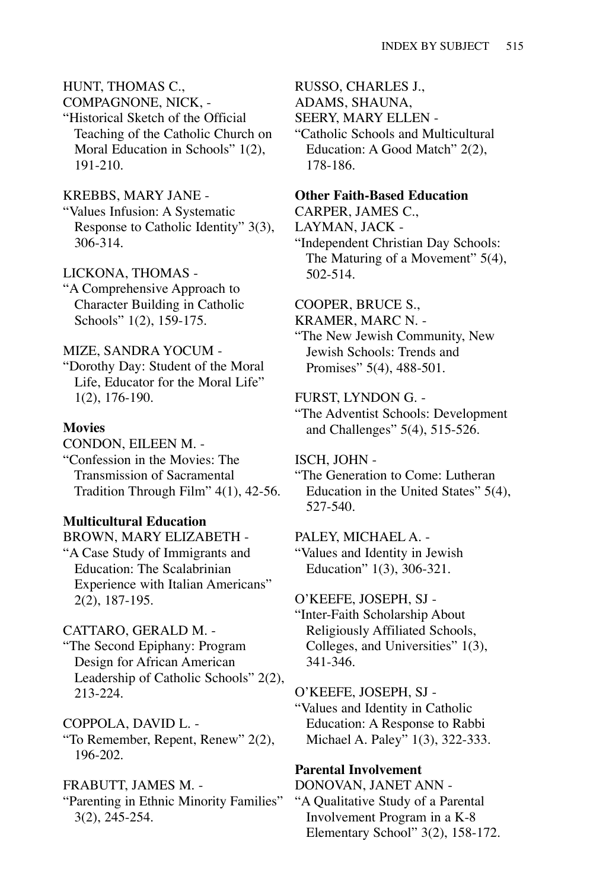# HUNT, THOMAS C.,

COMPAGNONE, NICK, -

"Historical Sketch of the Official Teaching of the Catholic Church on Moral Education in Schools" 1(2), 191-210.

### KREBBS, MARY JANE -

"Values Infusion: A Systematic Response to Catholic Identity" 3(3), 306-314.

# LICKONA, THOMAS -

"A Comprehensive Approach to Character Building in Catholic Schools" 1(2), 159-175.

### MIZE, SANDRA YOCUM -

"Dorothy Day: Student of the Moral Life, Educator for the Moral Life" 1(2), 176-190.

### **Movies**

CONDON, EILEEN M. -

"Confession in the Movies: The Transmission of Sacramental Tradition Through Film" 4(1), 42-56.

### **Multicultural Education**

BROWN, MARY ELIZABETH -

"A Case Study of Immigrants and Education: The Scalabrinian Experience with Italian Americans" 2(2), 187-195.

# CATTARO, GERALD M. -

"The Second Epiphany: Program Design for African American Leadership of Catholic Schools" 2(2), 213-224.

COPPOLA, DAVID L. - "To Remember, Repent, Renew" 2(2), 196-202.

### FRABUTT, JAMES M. -

"Parenting in Ethnic Minority Families" 3(2), 245-254.

RUSSO, CHARLES J.,

ADAMS, SHAUNA,

SEERY, MARY ELLEN -

"Catholic Schools and Multicultural Education: A Good Match" 2(2), 178-186.

### **Other Faith-Based Education**

CARPER, JAMES C.,

LAYMAN, JACK -

"Independent Christian Day Schools: The Maturing of a Movement" 5(4), 502-514.

COOPER, BRUCE S.,

KRAMER, MARC N. -

"The New Jewish Community, New Jewish Schools: Trends and Promises" 5(4), 488-501.

FURST, LYNDON G. -

"The Adventist Schools: Development and Challenges" 5(4), 515-526.

ISCH, JOHN -

"The Generation to Come: Lutheran Education in the United States" 5(4), 527-540.

PALEY, MICHAEL A. - "Values and Identity in Jewish

Education" 1(3), 306-321.

### O'KEEFE, JOSEPH, SJ -

"Inter-Faith Scholarship About Religiously Affiliated Schools, Colleges, and Universities" 1(3), 341-346.

O'KEEFE, JOSEPH, SJ -

"Values and Identity in Catholic Education: A Response to Rabbi Michael A. Paley" 1(3), 322-333.

### **Parental Involvement**

DONOVAN, JANET ANN - "A Qualitative Study of a Parental Involvement Program in a K-8 Elementary School" 3(2), 158-172.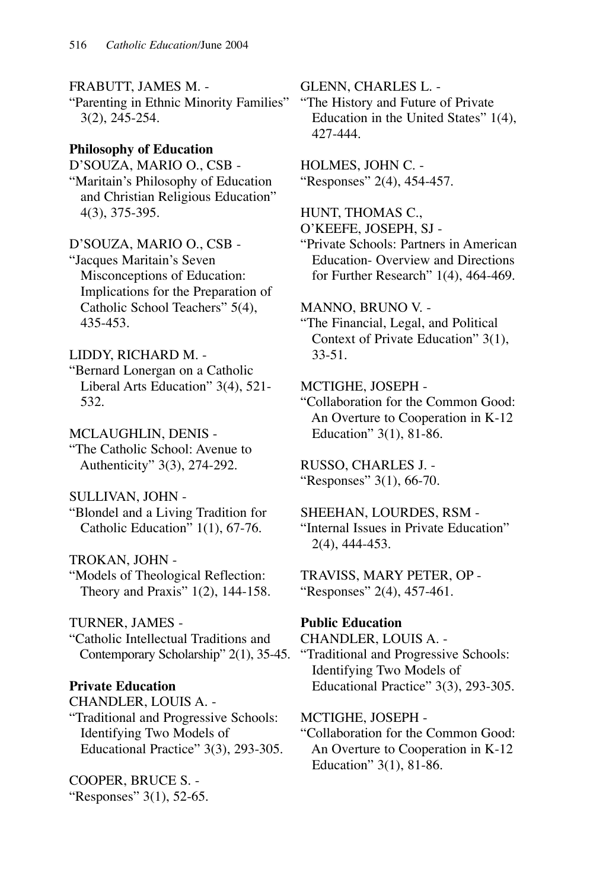FRABUTT, JAMES M. -

"Parenting in Ethnic Minority Families" 3(2), 245-254.

# **Philosophy of Education**

D'SOUZA, MARIO O., CSB - "Maritain's Philosophy of Education and Christian Religious Education" 4(3), 375-395.

D'SOUZA, MARIO O., CSB - "Jacques Maritain's Seven Misconceptions of Education: Implications for the Preparation of Catholic School Teachers" 5(4), 435-453.

LIDDY, RICHARD M. - "Bernard Lonergan on a Catholic Liberal Arts Education" 3(4), 521- 532.

MCLAUGHLIN, DENIS - "The Catholic School: Avenue to Authenticity" 3(3), 274-292.

SULLIVAN, JOHN - "Blondel and a Living Tradition for Catholic Education" 1(1), 67-76.

TROKAN, JOHN - "Models of Theological Reflection: Theory and Praxis" 1(2), 144-158.

TURNER, JAMES - "Catholic Intellectual Traditions and Contemporary Scholarship" 2(1), 35-45.

**Private Education**  CHANDLER, LOUIS A. - "Traditional and Progressive Schools: Identifying Two Models of Educational Practice" 3(3), 293-305.

COOPER, BRUCE S. - "Responses" 3(1), 52-65. GLENN, CHARLES L. -

"The History and Future of Private Education in the United States" 1(4), 427-444.

HOLMES, JOHN C. - "Responses" 2(4), 454-457.

HUNT, THOMAS C., O'KEEFE, JOSEPH, SJ -

"Private Schools: Partners in American Education- Overview and Directions for Further Research" 1(4), 464-469.

MANNO, BRUNO V. -

"The Financial, Legal, and Political Context of Private Education" 3(1), 33-51.

MCTIGHE, JOSEPH -

"Collaboration for the Common Good: An Overture to Cooperation in K-12 Education" 3(1), 81-86.

RUSSO, CHARLES J. - "Responses" 3(1), 66-70.

SHEEHAN, LOURDES, RSM - "Internal Issues in Private Education" 2(4), 444-453.

TRAVISS, MARY PETER, OP - "Responses" 2(4), 457-461.

# **Public Education**

CHANDLER, LOUIS A. - "Traditional and Progressive Schools: Identifying Two Models of Educational Practice" 3(3), 293-305.

MCTIGHE, JOSEPH - "Collaboration for the Common Good: An Overture to Cooperation in K-12 Education" 3(1), 81-86.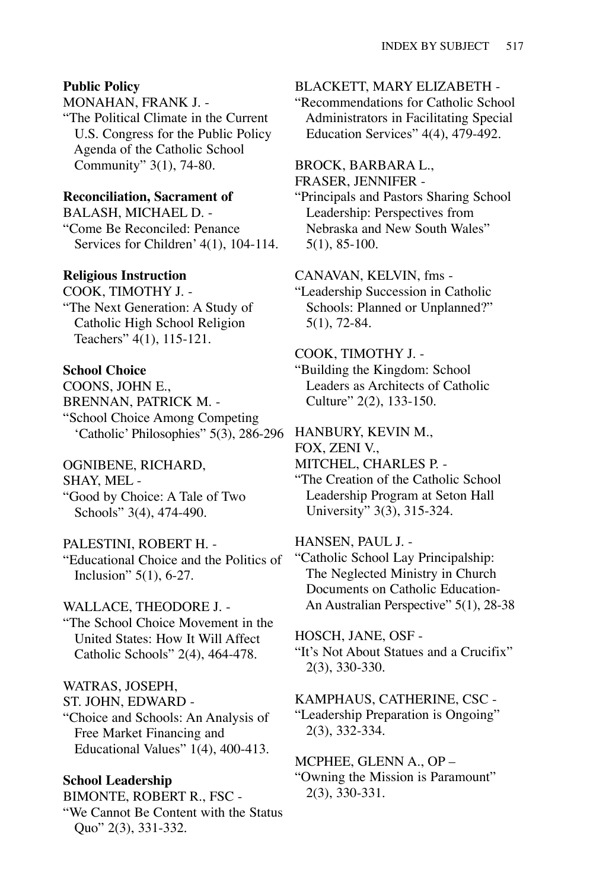#### **Public Policy**

MONAHAN, FRANK J. -

"The Political Climate in the Current U.S. Congress for the Public Policy Agenda of the Catholic School Community" 3(1), 74-80.

#### **Reconciliation, Sacrament of**

BALASH, MICHAEL D. - "Come Be Reconciled: Penance Services for Children' 4(1), 104-114.

#### **Religious Instruction**

COOK, TIMOTHY J. - "The Next Generation: A Study of

Catholic High School Religion Teachers" 4(1), 115-121.

# **School Choice**

COONS, JOHN E., BRENNAN, PATRICK M. - "School Choice Among Competing 'Catholic' Philosophies" 5(3), 286-296

#### OGNIBENE, RICHARD,

SHAY, MEL -

"Good by Choice: A Tale of Two Schools" 3(4), 474-490.

### PALESTINI, ROBERT H. -

"Educational Choice and the Politics of Inclusion" 5(1), 6-27.

#### WALLACE, THEODORE J. -

"The School Choice Movement in the United States: How It Will Affect Catholic Schools" 2(4), 464-478.

### WATRAS, JOSEPH,

ST. JOHN, EDWARD -

"Choice and Schools: An Analysis of Free Market Financing and Educational Values" 1(4), 400-413.

### **School Leadership**

BIMONTE, ROBERT R., FSC - "We Cannot Be Content with the Status Quo" 2(3), 331-332.

#### BLACKETT, MARY ELIZABETH -

"Recommendations for Catholic School Administrators in Facilitating Special Education Services" 4(4), 479-492.

#### BROCK, BARBARA L.,

FRASER, JENNIFER -

"Principals and Pastors Sharing School Leadership: Perspectives from Nebraska and New South Wales" 5(1), 85-100.

#### CANAVAN, KELVIN, fms -

"Leadership Succession in Catholic Schools: Planned or Unplanned?" 5(1), 72-84.

#### COOK, TIMOTHY J. -

"Building the Kingdom: School Leaders as Architects of Catholic Culture" 2(2), 133-150.

#### HANBURY, KEVIN M.,

FOX, ZENI V.,

MITCHEL, CHARLES P. -

"The Creation of the Catholic School Leadership Program at Seton Hall University" 3(3), 315-324.

#### HANSEN, PAUL J. -

"Catholic School Lay Principalship: The Neglected Ministry in Church Documents on Catholic Education-An Australian Perspective" 5(1), 28-38

### HOSCH, JANE, OSF -

"It's Not About Statues and a Crucifix" 2(3), 330-330.

### KAMPHAUS, CATHERINE, CSC - "Leadership Preparation is Ongoing" 2(3), 332-334.

MCPHEE, GLENN A., OP – "Owning the Mission is Paramount" 2(3), 330-331.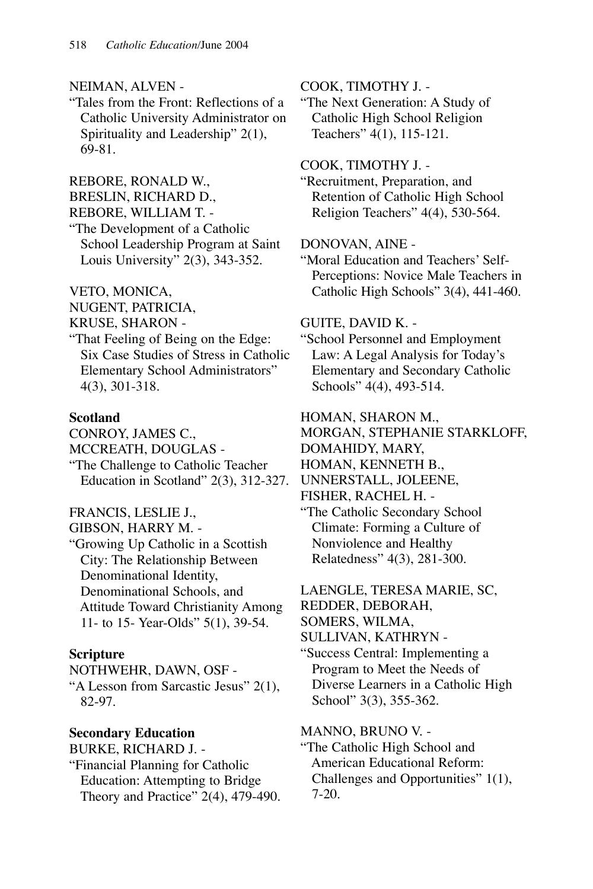### NEIMAN, ALVEN -

"Tales from the Front: Reflections of a Catholic University Administrator on Spirituality and Leadership" 2(1), 69-81.

REBORE, RONALD W.,

BRESLIN, RICHARD D.,

- REBORE, WILLIAM T. -
- "The Development of a Catholic School Leadership Program at Saint Louis University" 2(3), 343-352.

VETO, MONICA,

NUGENT, PATRICIA,

- KRUSE, SHARON -
- "That Feeling of Being on the Edge: Six Case Studies of Stress in Catholic Elementary School Administrators" 4(3), 301-318.

# **Scotland**

CONROY, JAMES C., MCCREATH, DOUGLAS - "The Challenge to Catholic Teacher Education in Scotland" 2(3), 312-327.

# FRANCIS, LESLIE J.,

GIBSON, HARRY M. -

"Growing Up Catholic in a Scottish City: The Relationship Between Denominational Identity, Denominational Schools, and Attitude Toward Christianity Among 11- to 15- Year-Olds" 5(1), 39-54.

# **Scripture**

NOTHWEHR, DAWN, OSF - "A Lesson from Sarcastic Jesus" 2(1), 82-97.

**Secondary Education** BURKE, RICHARD J. -

"Financial Planning for Catholic Education: Attempting to Bridge Theory and Practice" 2(4), 479-490. COOK, TIMOTHY J. -

"The Next Generation: A Study of Catholic High School Religion Teachers" 4(1), 115-121.

COOK, TIMOTHY J. -

"Recruitment, Preparation, and Retention of Catholic High School Religion Teachers" 4(4), 530-564.

DONOVAN, AINE -

"Moral Education and Teachers' Self-Perceptions: Novice Male Teachers in Catholic High Schools" 3(4), 441-460.

# GUITE, DAVID K. -

"School Personnel and Employment Law: A Legal Analysis for Today's Elementary and Secondary Catholic Schools" 4(4), 493-514.

HOMAN, SHARON M.,

MORGAN, STEPHANIE STARKLOFF, DOMAHIDY, MARY,

HOMAN, KENNETH B.,

UNNERSTALL, JOLEENE,

FISHER, RACHEL H. -

"The Catholic Secondary School Climate: Forming a Culture of Nonviolence and Healthy Relatedness" 4(3), 281-300.

LAENGLE, TERESA MARIE, SC, REDDER, DEBORAH, SOMERS, WILMA,

SULLIVAN, KATHRYN -

"Success Central: Implementing a Program to Meet the Needs of Diverse Learners in a Catholic High School" 3(3), 355-362.

MANNO, BRUNO V. -

"The Catholic High School and American Educational Reform: Challenges and Opportunities" 1(1), 7-20.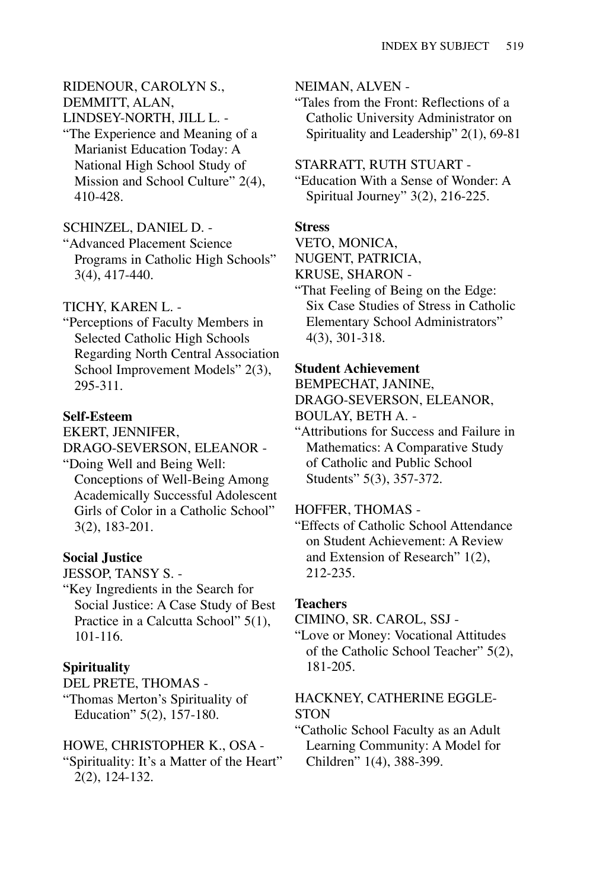# RIDENOUR, CAROLYN S., DEMMITT, ALAN, LINDSEY-NORTH, JILL L. -

"The Experience and Meaning of a Marianist Education Today: A National High School Study of Mission and School Culture" 2(4), 410-428.

### SCHINZEL, DANIEL D. -

"Advanced Placement Science Programs in Catholic High Schools" 3(4), 417-440.

### TICHY, KAREN L. -

"Perceptions of Faculty Members in Selected Catholic High Schools Regarding North Central Association School Improvement Models" 2(3), 295-311.

### **Self-Esteem**

EKERT, JENNIFER,

DRAGO-SEVERSON, ELEANOR -

"Doing Well and Being Well: Conceptions of Well-Being Among Academically Successful Adolescent Girls of Color in a Catholic School" 3(2), 183-201.

# **Social Justice**

JESSOP, TANSY S. -

"Key Ingredients in the Search for Social Justice: A Case Study of Best Practice in a Calcutta School" 5(1), 101-116.

# **Spirituality**

DEL PRETE, THOMAS -

"Thomas Merton's Spirituality of Education" 5(2), 157-180.

### HOWE, CHRISTOPHER K., OSA -

"Spirituality: It's a Matter of the Heart" 2(2), 124-132.

### NEIMAN, ALVEN -

"Tales from the Front: Reflections of a Catholic University Administrator on Spirituality and Leadership" 2(1), 69-81

### STARRATT, RUTH STUART -

"Education With a Sense of Wonder: A Spiritual Journey" 3(2), 216-225.

### **Stress**

VETO, MONICA,

NUGENT, PATRICIA,

- KRUSE, SHARON -
- "That Feeling of Being on the Edge: Six Case Studies of Stress in Catholic Elementary School Administrators" 4(3), 301-318.

### **Student Achievement**

BEMPECHAT, JANINE, DRAGO-SEVERSON, ELEANOR, BOULAY, BETH A. -

"Attributions for Success and Failure in Mathematics: A Comparative Study of Catholic and Public School Students" 5(3), 357-372.

### HOFFER, THOMAS -

"Effects of Catholic School Attendance on Student Achievement: A Review and Extension of Research" 1(2), 212-235.

### **Teachers**

CIMINO, SR. CAROL, SSJ -

"Love or Money: Vocational Attitudes of the Catholic School Teacher" 5(2), 181-205.

### HACKNEY, CATHERINE EGGLE-**STON**

"Catholic School Faculty as an Adult Learning Community: A Model for Children" 1(4), 388-399.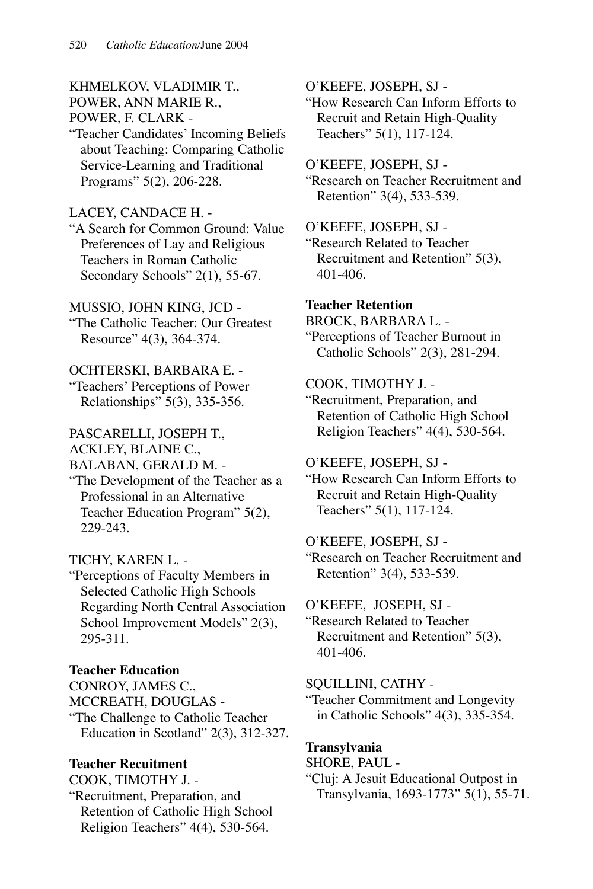### KHMELKOV, VLADIMIR T., POWER, ANN MARIE R., POWER, F. CLARK -

"Teacher Candidates' Incoming Beliefs about Teaching: Comparing Catholic Service-Learning and Traditional Programs" 5(2), 206-228.

### LACEY, CANDACE H. -

"A Search for Common Ground: Value Preferences of Lay and Religious Teachers in Roman Catholic Secondary Schools" 2(1), 55-67.

### MUSSIO, JOHN KING, JCD -

"The Catholic Teacher: Our Greatest Resource" 4(3), 364-374.

### OCHTERSKI, BARBARA E. -

"Teachers' Perceptions of Power Relationships" 5(3), 335-356.

# PASCARELLI, JOSEPH T.,

ACKLEY, BLAINE C.,

BALABAN, GERALD M. -

"The Development of the Teacher as a Professional in an Alternative Teacher Education Program" 5(2), 229-243.

### TICHY, KAREN L. -

"Perceptions of Faculty Members in Selected Catholic High Schools Regarding North Central Association School Improvement Models" 2(3), 295-311.

### **Teacher Education**

CONROY, JAMES C., MCCREATH, DOUGLAS -

"The Challenge to Catholic Teacher Education in Scotland" 2(3), 312-327.

### **Teacher Recuitment**

COOK, TIMOTHY J. -

"Recruitment, Preparation, and Retention of Catholic High School Religion Teachers" 4(4), 530-564.

O'KEEFE, JOSEPH, SJ -

"How Research Can Inform Efforts to Recruit and Retain High-Quality Teachers" 5(1), 117-124.

#### O'KEEFE, JOSEPH, SJ -

"Research on Teacher Recruitment and Retention" 3(4), 533-539.

O'KEEFE, JOSEPH, SJ -

"Research Related to Teacher Recruitment and Retention" 5(3), 401-406.

#### **Teacher Retention**

BROCK, BARBARA L. -

"Perceptions of Teacher Burnout in Catholic Schools" 2(3), 281-294.

# COOK, TIMOTHY J. -

"Recruitment, Preparation, and Retention of Catholic High School Religion Teachers" 4(4), 530-564.

### O'KEEFE, JOSEPH, SJ -

"How Research Can Inform Efforts to Recruit and Retain High-Quality Teachers" 5(1), 117-124.

#### O'KEEFE, JOSEPH, SJ -

"Research on Teacher Recruitment and Retention" 3(4), 533-539.

#### O'KEEFE, JOSEPH, SJ -

"Research Related to Teacher Recruitment and Retention" 5(3), 401-406.

#### SQUILLINI, CATHY -

"Teacher Commitment and Longevity in Catholic Schools" 4(3), 335-354.

#### **Transylvania**

SHORE, PAUL -

"Cluj: A Jesuit Educational Outpost in Transylvania, 1693-1773" 5(1), 55-71.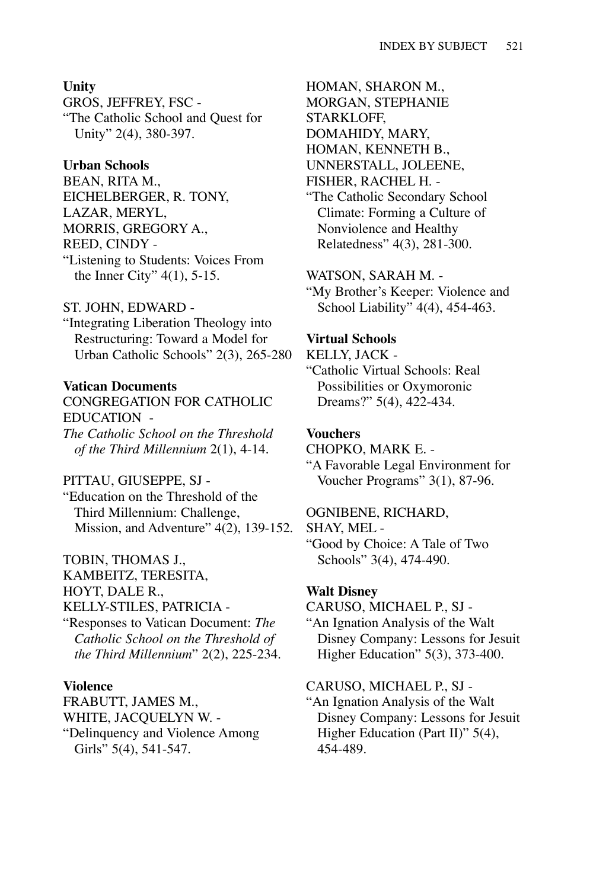#### **Unity**

GROS, JEFFREY, FSC - "The Catholic School and Quest for Unity" 2(4), 380-397.

#### **Urban Schools**

BEAN, RITA M., EICHELBERGER, R. TONY, LAZAR, MERYL, MORRIS, GREGORY A., REED, CINDY - "Listening to Students: Voices From the Inner City" 4(1), 5-15.

#### ST. JOHN, EDWARD -

"Integrating Liberation Theology into Restructuring: Toward a Model for Urban Catholic Schools" 2(3), 265-280

### **Vatican Documents**

CONGREGATION FOR CATHOLIC EDUCATION - *The Catholic School on the Threshold of the Third Millennium* 2(1), 4-14.

#### PITTAU, GIUSEPPE, SJ -

"Education on the Threshold of the Third Millennium: Challenge, Mission, and Adventure" 4(2), 139-152.

#### TOBIN, THOMAS J.,

KAMBEITZ, TERESITA, HOYT, DALE R.,

### KELLY-STILES, PATRICIA -

"Responses to Vatican Document: *The Catholic School on the Threshold of the Third Millennium*" 2(2), 225-234.

#### **Violence**

FRABUTT, JAMES M., WHITE, JACQUELYN W. - "Delinquency and Violence Among Girls" 5(4), 541-547.

HOMAN, SHARON M., MORGAN, STEPHANIE STARKLOFF, DOMAHIDY, MARY, HOMAN, KENNETH B., UNNERSTALL, JOLEENE, FISHER, RACHEL H. -

"The Catholic Secondary School Climate: Forming a Culture of Nonviolence and Healthy Relatedness" 4(3), 281-300.

#### WATSON, SARAH M. -

"My Brother's Keeper: Violence and School Liability" 4(4), 454-463.

#### **Virtual Schools**

KELLY, JACK -

"Catholic Virtual Schools: Real Possibilities or Oxymoronic Dreams?" 5(4), 422-434.

### **Vouchers**

CHOPKO, MARK E. - "A Favorable Legal Environment for Voucher Programs" 3(1), 87-96.

#### OGNIBENE, RICHARD,

SHAY, MEL -

"Good by Choice: A Tale of Two Schools" 3(4), 474-490.

#### **Walt Disney**

CARUSO, MICHAEL P., SJ -

"An Ignation Analysis of the Walt Disney Company: Lessons for Jesuit Higher Education" 5(3), 373-400.

#### CARUSO, MICHAEL P., SJ -

"An Ignation Analysis of the Walt Disney Company: Lessons for Jesuit Higher Education (Part II)" 5(4), 454-489.